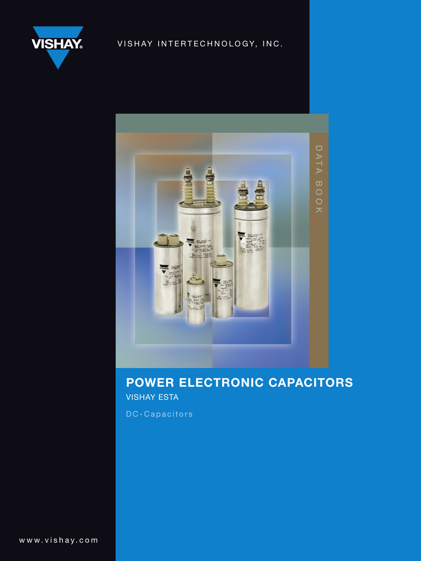

# VISHAY INTERTECHNOLOGY, INC.



# power electronic capacitors vishay esta

DC-Capacitors

www.vishay.com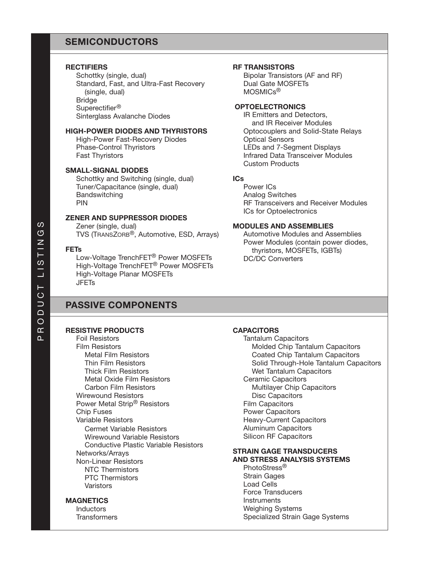### SEMICONDUCTORS

### **RECTIFIERS**

Schottky (single, dual) Standard, Fast, and Ultra-Fast Recovery (single, dual) **Bridge** Superectifier® Sinterglass Avalanche Diodes

### High-Power Diodes and Thyristors

High-Power Fast-Recovery Diodes Phase-Control Thyristors Fast Thyristors

### Small-Signal Diodes

Schottky and Switching (single, dual) Tuner/Capacitance (single, dual) **Bandswitching** PIN

### Zener and Suppressor Diodes

Zener (single, dual) TVS (TRANSZORB®, Automotive, ESD, Arrays)

### **FETs**

Low-Voltage TrenchFET® Power MOSFETs High-Voltage TrenchFET® Power MOSFETs High-Voltage Planar MOSFETs **JFETs** 

## Passive Components

### Resistive Products

Foil Resistors Film Resistors Metal Film Resistors Thin Film Resistors Thick Film Resistors Metal Oxide Film Resistors Carbon Film Resistors Wirewound Resistors Power Metal Strip® Resistors Chip Fuses Variable Resistors Cermet Variable Resistors Wirewound Variable Resistors Conductive Plastic Variable Resistors Networks/Arrays Non-Linear Resistors NTC Thermistors PTC Thermistors Varistors

### **MAGNETICS**

**Inductors Transformers** 

### RF Transistors

Bipolar Transistors (AF and RF) Dual Gate MOSFETs MOSMICs®

### **OPTOELECTRONICS**

IR Emitters and Detectors, and IR Receiver Modules Optocouplers and Solid-State Relays Optical Sensors LEDs and 7-Segment Displays Infrared Data Transceiver Modules Custom Products

### ICs

Power ICs Analog Switches RF Transceivers and Receiver Modules ICs for Optoelectronics

### Modules and Assemblies

Automotive Modules and Assemblies Power Modules (contain power diodes, thyristors, MOSFETs, IGBTs) DC/DC Converters

### **CAPACITORS**

Tantalum Capacitors Molded Chip Tantalum Capacitors Coated Chip Tantalum Capacitors Solid Through-Hole Tantalum Capacitors Wet Tantalum Capacitors Ceramic Capacitors Multilayer Chip Capacitors Disc Capacitors Film Capacitors Power Capacitors Heavy-Current Capacitors Aluminum Capacitors Silicon RF Capacitors Strain Gage Transducers and Stress Analysis Systems

PhotoStress® Strain Gages Load Cells Force Transducers **Instruments** Weighing Systems Specialized Strain Gage Systems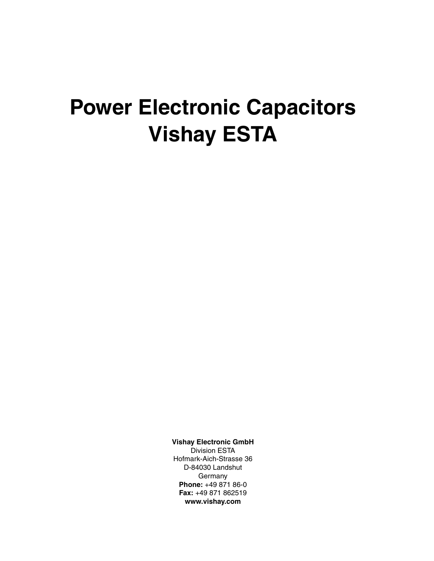# **Power Electronic Capacitors Vishay ESTA**

**Vishay Electronic GmbH** Division ESTA Hofmark-Aich-Strasse 36 D-84030 Landshut **Germany Phone:** +49 871 86-0 **Fax:** +49 871 862519

**www.vishay.com**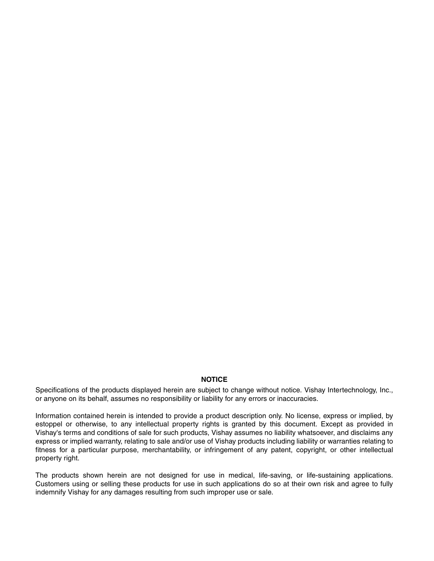### **NOTICE**

Specifications of the products displayed herein are subject to change without notice. Vishay Intertechnology, Inc., or anyone on its behalf, assumes no responsibility or liability for any errors or inaccuracies.

Information contained herein is intended to provide a product description only. No license, express or implied, by estoppel or otherwise, to any intellectual property rights is granted by this document. Except as provided in Vishay's terms and conditions of sale for such products, Vishay assumes no liability whatsoever, and disclaims any express or implied warranty, relating to sale and/or use of Vishay products including liability or warranties relating to fitness for a particular purpose, merchantability, or infringement of any patent, copyright, or other intellectual property right.

The products shown herein are not designed for use in medical, life-saving, or life-sustaining applications. Customers using or selling these products for use in such applications do so at their own risk and agree to fully indemnify Vishay for any damages resulting from such improper use or sale.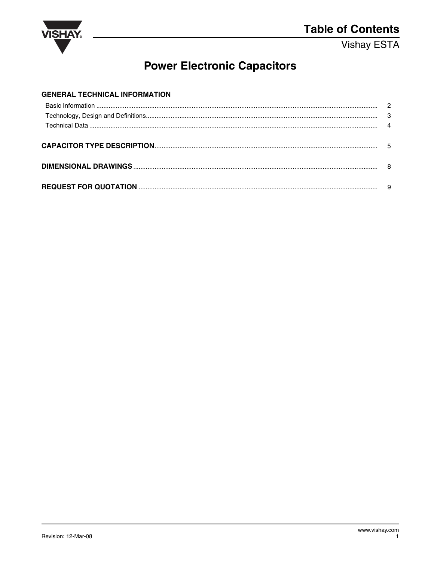

# **Power Electronic Capacitors**

| <b>GENERAL TECHNICAL INFORMATION</b> |  |
|--------------------------------------|--|
|                                      |  |
|                                      |  |
|                                      |  |
|                                      |  |
|                                      |  |
|                                      |  |
|                                      |  |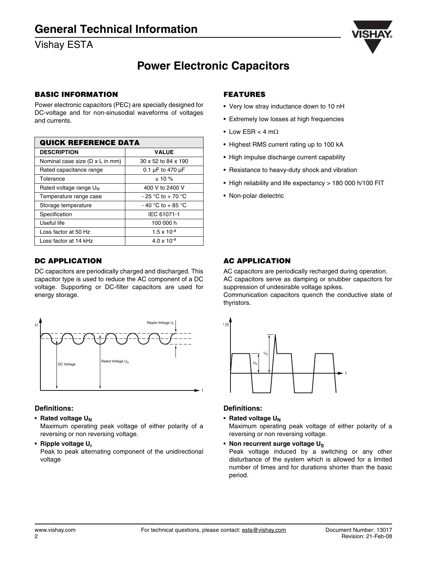

# **Power Electronic Capacitors**

### **BASIC INFORMATION**

Power electronic capacitors (PEC) are specially designed for DC-voltage and for non-sinusodial waveforms of voltages and currents.

| <b>QUICK REFERENCE DATA</b>     |                            |  |  |  |  |  |  |  |  |  |
|---------------------------------|----------------------------|--|--|--|--|--|--|--|--|--|
| <b>DESCRIPTION</b>              | <b>VALUE</b>               |  |  |  |  |  |  |  |  |  |
| Nominal case size (D x L in mm) | 30 x 52 to 84 x 190        |  |  |  |  |  |  |  |  |  |
| Rated capacitance range         | 0.1 $\mu$ F to 470 $\mu$ F |  |  |  |  |  |  |  |  |  |
| Tolerance                       | $± 10 \%$                  |  |  |  |  |  |  |  |  |  |
| Rated voltage range $U_N$       | 400 V to 2400 V            |  |  |  |  |  |  |  |  |  |
| Temperature range case          | $-25$ °C to $+70$ °C       |  |  |  |  |  |  |  |  |  |
| Storage temperature             | $-40$ °C to $+85$ °C       |  |  |  |  |  |  |  |  |  |
| Specification                   | IEC 61071-1                |  |  |  |  |  |  |  |  |  |
| Useful life                     | 100 000 h                  |  |  |  |  |  |  |  |  |  |
| Loss factor at 50 Hz            | $1.5 \times 10^{-4}$       |  |  |  |  |  |  |  |  |  |
| Loss factor at 14 kHz           | $4.0 \times 10^{-4}$       |  |  |  |  |  |  |  |  |  |

### **DC APPLICATION**

DC capacitors are periodically charged and discharged. This capacitor type is used to reduce the AC component of a DC voltage. Supporting or DC-filter capacitors are used for energy storage.



### **Definitions:**

• **Rated voltage UN**

Maximum operating peak voltage of either polarity of a reversing or non reversing voltage.

• **Ripple voltage Ur**

Peak to peak alternating component of the unidirectional voltage

### **FEATURES**

- Very low stray inductance down to 10 nH
- Extremely low losses at high frequencies
- Low ESR  $<$  4 m $\Omega$
- Highest RMS current rating up to 100 kA
- High impulse discharge current capability
- Resistance to heavy-duty shock and vibration
- High reliability and life expectancy > 180 000 h/100 FIT
- Non-polar dielectric

### **AC APPLICATION**

AC capacitors are periodically recharged during operation. AC capacitors serve as damping or snubber capacitors for suppression of undesirable voltage spikes.

Communication capacitors quench the conductive state of thyristors.



### **Definitions:**

• Rated voltage U<sub>N</sub>

Maximum operating peak voltage of either polarity of a reversing or non reversing voltage.

• **Non recurrent surge voltage US**

Peak voltage induced by a switching or any other disturbance of the system which is allowed for a limited number of times and for durations shorter than the basic period.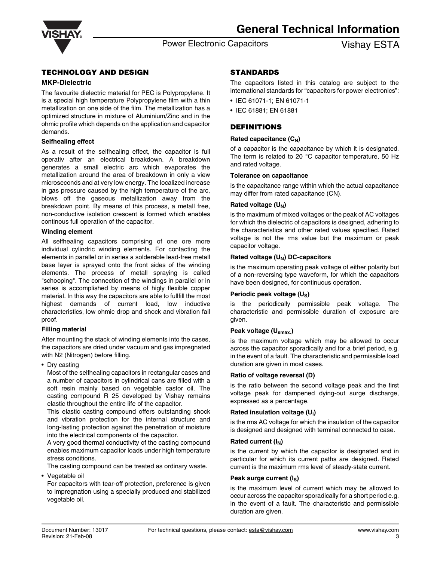

### Power Electronic Capacitors **Vishay ESTA**

### **TECHNOLOGY AND DESIGN**

### **MKP-Dielectric**

The favourite dielectric material for PEC is Polypropylene. It is a special high temperature Polypropylene film with a thin metallization on one side of the film. The metallization has a optimized structure in mixture of Aluminium/Zinc and in the ohmic profile which depends on the application and capacitor demands.

### **Selfhealing effect**

As a result of the selfhealing effect, the capacitor is full operativ after an electrical breakdown. A breakdown generates a small electric arc which evaporates the metallization around the area of breakdown in only a view microseconds and at very low energy. The localized increase in gas pressure caused by the high temperature of the arc, blows off the gaseous metallization away from the breakdown point. By means of this process, a metall free, non-conductive isolation crescent is formed which enables continous full operation of the capacitor.

### **Winding element**

All selfhealing capacitors comprising of one ore more individual cylindric winding elements. For contacting the elements in parallel or in series a solderable lead-free metall base layer is sprayed onto the front sides of the winding elements. The process of metall spraying is called "schooping". The connection of the windings in parallel or in series is accomplished by means of higly flexible copper material. In this way the capacitors are able to fullfill the most highest demands of current load, low inductive characteristics, low ohmic drop and shock and vibration fail proof.

### **Filling material**

After mounting the stack of winding elements into the cases, the capacitors are dried under vacuum and gas impregnated with N2 (Nitrogen) before filling.

• Dry casting

Most of the selfhealing capacitors in rectangular cases and a number of capacitors in cylindrical cans are filled with a soft resin mainly based on vegetable castor oil. The casting compound R 25 developed by Vishay remains elastic throughout the entire life of the capacitor.

This elastic casting compound offers outstanding shock and vibration protection for the internal structure and long-lasting protection against the penetration of moisture into the electrical components of the capacitor.

A very good thermal conductivity of the casting compound enables maximum capacitor loads under high temperature stress conditions.

The casting compound can be treated as ordinary waste.

• Vegetable oil

For capacitors with tear-off protection, preference is given to impregnation using a specially produced and stabilized vegetable oil.

### **STANDARDS**

The capacitors listed in this catalog are subject to the international standards for "capacitors for power electronics":

- IEC 61071-1; EN 61071-1
- IEC 61881; EN 61881

### **DEFINITIONS**

### **Rated capacitance (C<sub>N</sub>)**

of a capacitor is the capacitance by which it is designated. The term is related to 20 °C capacitor temperature, 50 Hz and rated voltage.

### **Tolerance on capacitance**

is the capacitance range within which the actual capacitance may differ from rated capacitance (CN).

### **Rated voltage (U<sub>N</sub>)**

is the maximum of mixed voltages or the peak of AC voltages for which the dielectric of capacitors is designed, adhering to the characteristics and other rated values specified. Rated voltage is not the rms value but the maximum or peak capacitor voltage.

### **Rated voltage (U<sub>N</sub>) DC-capacitors**

is the maximum operating peak voltage of either polarity but of a non-reversing type waveform, for which the capacitors have been designed, for continuous operation.

### **Periodic peak voltage (US)**

is the periodically permissible peak voltage. The characteristic and permissible duration of exposure are given.

### **Peak voltage (Usmax.)**

is the maximum voltage which may be allowed to occur across the capacitor sporadically and for a brief period, e.g. in the event of a fault. The characteristic and permissible load duration are given in most cases.

### **Ratio of voltage reversal (D)**

is the ratio between the second voltage peak and the first voltage peak for dampened dying-out surge discharge, expressed as a percentage.

### **Rated insulation voltage (Ui)**

is the rms AC voltage for which the insulation of the capacitor is designed and designed with terminal connected to case.

### **Rated current (IN)**

is the current by which the capacitor is designated and in particular for which its current paths are designed. Rated current is the maximum rms level of steady-state current.

### **Peak surge current (IS)**

is the maximum level of current which may be allowed to occur across the capacitor sporadically for a short period e.g. in the event of a fault. The characteristic and permissible duration are given.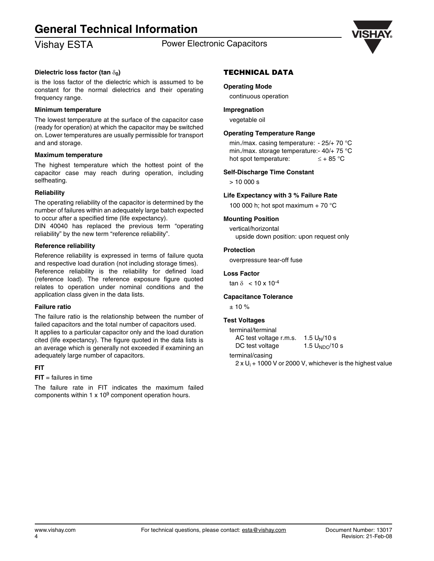# **General Technical Information**

# Vishay ESTA **Power Electronic Capacitors**



### **Dielectric loss factor (tan δ<sub>0</sub>)**

is the loss factor of the dielectric which is assumed to be constant for the normal dielectrics and their operating frequency range.

### **Minimum temperature**

The lowest temperature at the surface of the capacitor case (ready for operation) at which the capacitor may be switched on. Lower temperatures are usually permissible for transport and and storage.

### **Maximum temperature**

The highest temperature which the hottest point of the capacitor case may reach during operation, including selfheating.

### **Reliability**

The operating reliability of the capacitor is determined by the number of failures within an adequately large batch expected to occur after a specified time (life expectancy).

DIN 40040 has replaced the previous term "operating reliability" by the new term "reference reliability".

### **Reference reliability**

Reference reliability is expressed in terms of failure quota and respective load duration (not including storage times). Reference reliability is the reliability for defined load (reference load). The reference exposure figure quoted relates to operation under nominal conditions and the application class given in the data lists.

### **Failure ratio**

The failure ratio is the relationship between the number of failed capacitors and the total number of capacitors used. It applies to a particular capacitor only and the load duration cited (life expectancy). The figure quoted in the data lists is an average which is generally not exceeded if examining an adequately large number of capacitors.

### **FIT**

### $FIT =$  failures in time

The failure rate in FIT indicates the maximum failed components within 1  $\times$  10<sup>9</sup> component operation hours.

### **TECHNICAL DATA**

### **Operating Mode**

continuous operation

### **Impregnation**

vegetable oil

### **Operating Temperature Range**

min./max. casing temperature: - 25/+ 70 °C min./max. storage temperature:- 40/+ 75 °C hot spot temperature:  $\leq +85$  °C

### **Self-Discharge Time Constant**

 $> 10,000$  s

### **Life Expectancy with 3 % Failure Rate**

100 000 h; hot spot maximum + 70  $^{\circ}$ C

### **Mounting Position**

vertical/horizontal upside down position: upon request only

### **Protection**

overpressure tear-off fuse

### **Loss Factor**

tan δ < 10 x 10<sup>-4</sup>

### **Capacitance Tolerance**

± 10 %

### **Test Voltages**

| terminal/terminal      |                    |
|------------------------|--------------------|
| AC test voltage r.m.s. | $1.5 U_N / 10 s$   |
| DC test voltage        | 1.5 $U_{NDC}/10 s$ |

terminal/casing

2 x U<sub>i</sub> + 1000 V or 2000 V, whichever is the highest value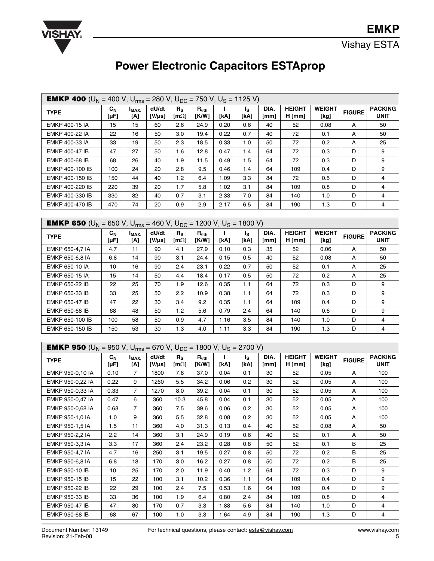

# **Power Electronic Capacitors ESTAprop**

| <b>EMKP 400</b> (U <sub>N</sub> = 400 V, U <sub>rms</sub> = 280 V, U <sub>DC</sub> = 750 V, U <sub>S</sub> = 1125 V)  |                             |                          |                      |                                         |                          |            |                        |              |                           |                       |               |                               |
|-----------------------------------------------------------------------------------------------------------------------|-----------------------------|--------------------------|----------------------|-----------------------------------------|--------------------------|------------|------------------------|--------------|---------------------------|-----------------------|---------------|-------------------------------|
| <b>TYPE</b>                                                                                                           | $c_{N}$<br>$[\mu F]$        | $I_{MAX.}$<br>[A]        | dU/dt<br>$[V/\mu s]$ | $R_{\rm S}$<br>[m $\Omega$ ]            | $R_{\theta th}$<br>[K/W] | L<br>[kA]  | ls.<br>[kA]            | DIA.<br>[mm] | <b>HEIGHT</b><br>$H$ [mm] | <b>WEIGHT</b><br>[kg] | <b>FIGURE</b> | <b>PACKING</b><br><b>UNIT</b> |
| <b>EMKP 400-15 IA</b>                                                                                                 | 15                          | 15                       | 60                   | 2.6                                     | 24.9                     | 0.20       | 0.6                    | 40           | 52                        | 0.08                  | A             | 50                            |
| <b>EMKP 400-22 IA</b>                                                                                                 | 22                          | 16                       | 50                   | 3.0                                     | 19.4                     | 0.22       | 0.7                    | 40           | 72                        | 0.1                   | A             | 50                            |
| EMKP 400-33 IA                                                                                                        | 33                          | 19                       | 50                   | 2.3                                     | 18.5                     | 0.33       | 1.0                    | 50           | 72                        | 0.2                   | А             | 25                            |
| <b>EMKP 400-47 IB</b>                                                                                                 | 47                          | 27                       | 50                   | 1.6                                     | 12.8                     | 0.47       | 1.4                    | 64           | 72                        | 0.3                   | D             | 9                             |
| <b>EMKP 400-68 IB</b>                                                                                                 | 68                          | 26                       | 40                   | 1.9                                     | 11.5                     | 0.49       | 1.5                    | 64           | 72                        | 0.3                   | D             | 9                             |
| EMKP 400-100 IB                                                                                                       | 100                         | 24                       | 20                   | 2.8                                     | 9.5                      | 0.46       | 1.4                    | 64           | 109                       | 0.4                   | D             | 9                             |
| EMKP 400-150 IB                                                                                                       | 150                         | 44                       | 40                   | 1.2                                     | 6.4                      | 1.09       | 3.3                    | 84           | 72                        | 0.5                   | D             | 4                             |
| EMKP 400-220 IB                                                                                                       | 220                         | 39                       | 20                   | 1.7                                     | 5.8                      | 1.02       | 3.1                    | 84           | 109                       | 0.8                   | D             | 4                             |
| EMKP 400-330 IB                                                                                                       | 330                         | 82                       | 40                   | 0.7                                     | 3.1                      | 2.33       | 7.0                    | 84           | 140                       | 1.0                   | D             | 4                             |
| EMKP 400-470 IB                                                                                                       | 470                         | 74                       | 20                   | 0.9                                     | 2.9                      | 2.17       | 6.5                    | 84           | 190                       | 1.3                   | D             | 4                             |
|                                                                                                                       |                             |                          |                      |                                         |                          |            |                        |              |                           |                       |               |                               |
| <b>EMKP 650</b> (U <sub>N</sub> = 650 V, U <sub>rms</sub> = 460 V, U <sub>DC</sub> = 1200 V, U <sub>S</sub> = 1800 V) |                             |                          |                      |                                         |                          |            |                        |              |                           |                       |               |                               |
| <b>TYPE</b>                                                                                                           | $C_N$<br>$[\mu F]$          | I <sub>MAX.</sub><br>[A] | dU/dt<br>[V/µs]      | $R_{\rm S}$<br>[m $\Omega$ ]            | $R_{\theta th}$<br>[K/W] | J.<br>[kA] | l <sub>S</sub><br>[kA] | DIA.<br>[mm] | <b>HEIGHT</b><br>$H$ [mm] | <b>WEIGHT</b><br>[kg] | <b>FIGURE</b> | <b>PACKING</b><br><b>UNIT</b> |
| EMKP 650-4,7 IA                                                                                                       | 4.7                         | 11                       | 90                   | 4.1                                     | 27.9                     | 0.10       | 0.3                    | 35           | 52                        | 0.06                  | A             | 50                            |
| EMKP 650-6,8 IA                                                                                                       | 6.8                         | 14                       | 90                   | 3.1                                     | 24.4                     | 0.15       | 0.5                    | 40           | 52                        | 0.08                  | А             | 50                            |
| EMKP 650-10 IA                                                                                                        | 10                          | 16                       | 90                   | 2.4                                     | 23.1                     | 0.22       | 0.7                    | 50           | 52                        | 0.1                   | A             | 25                            |
| EMKP 650-15 IA                                                                                                        | 15                          | 14                       | 50                   | 4.4                                     | 18.4                     | 0.17       | 0.5                    | 50           | 72                        | 0.2                   | А             | 25                            |
| EMKP 650-22 IB                                                                                                        | 22                          | 25                       | 70                   | 1.9                                     | 12.6                     | 0.35       | 1.1                    | 64           | 72                        | 0.3                   | D             | 9                             |
| EMKP 650-33 IB                                                                                                        | 33                          | 25                       | 50                   | 2.2                                     | 10.9                     | 0.38       | 1.1                    | 64           | 72                        | 0.3                   | D             | 9                             |
| <b>EMKP 650-47 IB</b>                                                                                                 | 47                          | 22                       | 30                   | 3.4                                     | 9.2                      | 0.35       | 1.1                    | 64           | 109                       | 0.4                   | D             | 9                             |
| <b>EMKP 650-68 IB</b>                                                                                                 | 68                          | 48                       | 50                   | 1.2                                     | 5.6                      | 0.79       | 2.4                    | 64           | 140                       | 0.6                   | D             | 9                             |
| EMKP 650-100 IB                                                                                                       | 100                         | 58                       | 50                   | 0.9                                     | 4.7                      | 1.16       | 3.5                    | 84           | 140                       | 1.0                   | D             | 4                             |
| EMKP 650-150 IB                                                                                                       | 150                         | 53                       | 30                   | 1.3                                     | 4.0                      | 1.11       | 3.3                    | 84           | 190                       | 1.3                   | D             | 4                             |
|                                                                                                                       |                             |                          |                      |                                         |                          |            |                        |              |                           |                       |               |                               |
| <b>EMKP 950</b> (U <sub>N</sub> = 950 V, U <sub>rms</sub> = 670 V, U <sub>DC</sub> = 1800 V, U <sub>S</sub> = 2700 V) |                             |                          |                      |                                         |                          |            |                        |              |                           |                       |               |                               |
| <b>TYPE</b>                                                                                                           | $\mathbf{C_N}$<br>$[\mu F]$ | I <sub>MAX</sub><br>[A]  | dU/dt<br>[V/µs]      | $R_{\rm S}$<br>$\lceil m \Omega \rceil$ | $R_{\theta th}$<br>[K/W] | L.<br>[kA] | l <sub>S</sub><br>[kA] | DIA.<br>[mm] | <b>HEIGHT</b><br>$H$ [mm] | <b>WEIGHT</b><br>[kg] | <b>FIGURE</b> | <b>PACKING</b><br><b>UNIT</b> |
| EMKP 950-0,10 IA                                                                                                      | 0.10                        | 7                        | 1800                 | 7.8                                     | 37.0                     | 0.04       | 0.1                    | 30           | 52                        | 0.05                  | A             | 100                           |
| EMKP 950-0,22 IA                                                                                                      | 0.22                        | 9                        | 1260                 | 5.5                                     | 34.2                     | 0.06       | 0.2                    | 30           | 52                        | 0.05                  | А             | 100                           |
| EMKP 950-0,33 IA                                                                                                      | 0.33                        | $\overline{7}$           | 1270                 | 8.0                                     | 39.2                     | 0.04       | 0.1                    | 30           | 52                        | 0.05                  | А             | 100                           |
| EMKP 950-0,47 IA                                                                                                      | 0.47                        | 6                        | 360                  | 10.3                                    | 45.8                     | 0.04       | 0.1                    | 30           | 52                        | 0.05                  | А             | 100                           |
| EMKP 950-0,68 IA                                                                                                      | 0.68                        | $\overline{7}$           | 360                  | 7.5                                     | 39.6                     | 0.06       | 0.2                    | 30           | 52                        | 0.05                  | А             | 100                           |
| EMKP 950-1,0 IA                                                                                                       | 1.0                         | 9                        | 360                  | 5.5                                     | 32.8                     | 0.08       | 0.2                    | 30           | 52                        | 0.05                  | А             | 100                           |
| EMKP 950-1,5 IA                                                                                                       | 1.5                         | 11                       | 360                  | 4.0                                     | 31.3                     | 0.13       | 0.4                    | 40           | 52                        | 0.08                  | А             | 50                            |
| EMKP 950-2,2 IA                                                                                                       | 2.2                         | 14                       | 360                  | 3.1                                     | 24.9                     | 0.19       | 0.6                    | 40           | 52                        | 0.1                   | А             | 50                            |
| EMKP 950-3,3 IA                                                                                                       | 3.3                         | 17                       | 360                  | 2.4                                     | 23.2                     | 0.28       | 0.8                    | 50           | 52                        | 0.1                   | В             | 25                            |
| EMKP 950-4,7 IA                                                                                                       | 4.7                         | 16                       | 250                  | 3.1                                     | 19.5                     | 0.27       | 0.8                    | 50           | 72                        | 0.2                   | В             | 25                            |
| EMKP 950-6,8 IA                                                                                                       | 6.8                         | 18                       | 170                  | 3.0                                     | 16.2                     | 0.27       | 0.8                    | 50           | 72                        | 0.2                   | В             | 25                            |
| EMKP 950-10 IB                                                                                                        | 10                          | 25                       | 170                  | 2.0                                     | 11.9                     | 0.40       | 1.2                    | 64           | 72                        | 0.3                   | D             | 9                             |
| EMKP 950-15 IB                                                                                                        | 15                          | 22                       | 100                  | 3.1                                     | 10.2                     | 0.36       | 1.1                    | 64           | 109                       | 0.4                   | D             | 9                             |
| <b>EMKP 950-22 IB</b>                                                                                                 | 22                          | 29                       | 100                  | 2.4                                     | 7.5                      | 0.53       | 1.6                    | 64           | 109                       | 0.4                   | D             | 9                             |
| EMKP 950-33 IB                                                                                                        | 33                          | 36                       | 100                  | 1.9                                     | 6.4                      | 0.80       | 2.4                    | 84           | 109                       | 0.8                   | D             | 4                             |
| EMKP 950-47 IB                                                                                                        | 47                          | 80                       | 170                  | 0.7                                     | 3.3                      | 1.88       | 5.6                    | 84           | 140                       | 1.0                   | D             | 4                             |
| EMKP 950-68 IB                                                                                                        | 68                          | 67                       | 100                  | 1.0                                     | 3.3                      | 1.64       | 4.9                    | 84           | 190                       | 1.3                   | D             | $\overline{4}$                |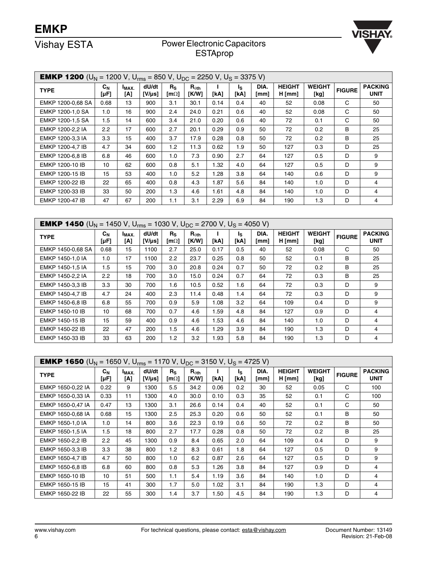

# Vishay ESTA<br>
Power Electronic Capacitors ESTAprop

| <b>EMKP 1200</b> (U <sub>N</sub> = 1200 V, U <sub>rms</sub> = 850 V, U <sub>DC</sub> = 2250 V, U <sub>S</sub> = 3375 V) |                      |                         |                      |                                         |                                           |      |             |              |                           |                       |               |                               |
|-------------------------------------------------------------------------------------------------------------------------|----------------------|-------------------------|----------------------|-----------------------------------------|-------------------------------------------|------|-------------|--------------|---------------------------|-----------------------|---------------|-------------------------------|
| <b>TYPE</b>                                                                                                             | $C_{N}$<br>$[\mu F]$ | I <sub>MAX</sub><br>[A] | dU/dt<br>$[V/\mu s]$ | $R_{\rm S}$<br>$\lceil m \Omega \rceil$ | $\mathsf{R}_{\theta\mathsf{th}}$<br>[K/W] | [kA] | ls.<br>[kA] | DIA.<br>[mm] | <b>HEIGHT</b><br>$H$ [mm] | <b>WEIGHT</b><br>[kg] | <b>FIGURE</b> | <b>PACKING</b><br><b>UNIT</b> |
| EMKP 1200-0,68 SA                                                                                                       | 0.68                 | 13                      | 900                  | 3.1                                     | 30.1                                      | 0.14 | 0.4         | 40           | 52                        | 0.08                  | C             | 50                            |
| EMKP 1200-1,0 SA                                                                                                        | 1.0                  | 16                      | 900                  | 2.4                                     | 24.0                                      | 0.21 | 0.6         | 40           | 52                        | 0.08                  | C             | 50                            |
| EMKP 1200-1.5 SA                                                                                                        | 1.5                  | 14                      | 600                  | 3.4                                     | 21.0                                      | 0.20 | 0.6         | 40           | 72                        | 0.1                   | C             | 50                            |
| EMKP 1200-2.2 IA                                                                                                        | 2.2                  | 17                      | 600                  | 2.7                                     | 20.1                                      | 0.29 | 0.9         | 50           | 72                        | 0.2                   | В             | 25                            |
| EMKP 1200-3,3 IA                                                                                                        | 3.3                  | 15                      | 400                  | 3.7                                     | 17.9                                      | 0.28 | 0.8         | 50           | 72                        | 0.2                   | B             | 25                            |
| EMKP 1200-4,7 IB                                                                                                        | 4.7                  | 34                      | 600                  | 1.2                                     | 11.3                                      | 0.62 | 1.9         | 50           | 127                       | 0.3                   | D             | 25                            |
| EMKP 1200-6.8 IB                                                                                                        | 6.8                  | 46                      | 600                  | 1.0                                     | 7.3                                       | 0.90 | 2.7         | 64           | 127                       | 0.5                   | D             | 9                             |
| EMKP 1200-10 IB                                                                                                         | 10                   | 62                      | 600                  | 0.8                                     | 5.1                                       | 1.32 | 4.0         | 64           | 127                       | 0.5                   | D             | 9                             |
| EMKP 1200-15 IB                                                                                                         | 15                   | 53                      | 400                  | 1.0                                     | 5.2                                       | 1.28 | 3.8         | 64           | 140                       | 0.6                   | D             | 9                             |
| EMKP 1200-22 IB                                                                                                         | 22                   | 65                      | 400                  | 0.8                                     | 4.3                                       | 1.87 | 5.6         | 84           | 140                       | 1.0                   | D             | 4                             |
| EMKP 1200-33 IB                                                                                                         | 33                   | 50                      | 200                  | 1.3                                     | 4.6                                       | 1.61 | 4.8         | 84           | 140                       | 1.0                   | D             | 4                             |
| EMKP 1200-47 IB                                                                                                         | 47                   | 67                      | 200                  | 1.1                                     | 3.1                                       | 2.29 | 6.9         | 84           | 190                       | 1.3                   | D             | 4                             |

| <b>EMKP 1450</b> (U <sub>N</sub> = 1450 V, U <sub>rms</sub> = 1030 V, U <sub>DC</sub> = 2700 V, U <sub>S</sub> = 4050 V) |                                    |                   |                      |                              |                          |      |            |              |                           |                       |               |                               |
|--------------------------------------------------------------------------------------------------------------------------|------------------------------------|-------------------|----------------------|------------------------------|--------------------------|------|------------|--------------|---------------------------|-----------------------|---------------|-------------------------------|
| <b>TYPE</b>                                                                                                              | $c_{\scriptscriptstyle N}$<br>[µF] | $I_{MAX.}$<br>[A] | dU/dt<br>$[V/\mu s]$ | $R_{\rm S}$<br>[m $\Omega$ ] | $R_{\theta th}$<br>[K/W] | [kA] | Ιs<br>[kA] | DIA.<br>[mm] | <b>HEIGHT</b><br>$H$ [mm] | <b>WEIGHT</b><br>[kg] | <b>FIGURE</b> | <b>PACKING</b><br><b>UNIT</b> |
| EMKP 1450-0,68 SA                                                                                                        | 0.68                               | 15                | 1100                 | 2.7                          | 25.0                     | 0.17 | 0.5        | 40           | 52                        | 0.08                  | C             | 50                            |
| EMKP 1450-1.0 IA                                                                                                         | 1.0                                | 17                | 1100                 | 2.2                          | 23.7                     | 0.25 | 0.8        | 50           | 52                        | 0.1                   | в             | 25                            |
| EMKP 1450-1.5 IA                                                                                                         | 1.5                                | 15                | 700                  | 3.0                          | 20.8                     | 0.24 | 0.7        | 50           | 72                        | 0.2 <sub>0</sub>      | в             | 25                            |
| EMKP 1450-2,2 IA                                                                                                         | 2.2                                | 18                | 700                  | 3.0                          | 15.0                     | 0.24 | 0.7        | 64           | 72                        | 0.3                   | в             | 25                            |
| EMKP 1450-3.3 IB                                                                                                         | 3.3                                | 30                | 700                  | 1.6                          | 10.5                     | 0.52 | 1.6        | 64           | 72                        | 0.3                   | D             | 9                             |
| EMKP 1450-4.7 IB                                                                                                         | 4.7                                | 24                | 400                  | 2.3                          | 11.4                     | 0.48 | 1.4        | 64           | 72                        | 0.3                   | D             | 9                             |
| EMKP 1450-6,8 IB                                                                                                         | 6.8                                | 55                | 700                  | 0.9                          | 5.9                      | 1.08 | 3.2        | 64           | 109                       | 0.4                   | D             | 9                             |
| EMKP 1450-10 IB                                                                                                          | 10                                 | 68                | 700                  | 0.7                          | 4.6                      | 1.59 | 4.8        | 84           | 127                       | 0.9                   | D             | 4                             |
| EMKP 1450-15 IB                                                                                                          | 15                                 | 59                | 400                  | 0.9                          | 4.6                      | 1.53 | 4.6        | 84           | 140                       | 1.0                   | D             | 4                             |
| EMKP 1450-22 IB                                                                                                          | 22                                 | 47                | 200                  | 1.5                          | 4.6                      | 1.29 | 3.9        | 84           | 190                       | 1.3                   | D             | 4                             |
| EMKP 1450-33 IB                                                                                                          | 33                                 | 63                | 200                  | 1.2                          | 3.2                      | 1.93 | 5.8        | 84           | 190                       | 1.3                   | D             | 4                             |

| <b>EMKP 1650</b> (U <sub>N</sub> = 1650 V, U <sub>rms</sub> = 1170 V, U <sub>DC</sub> = 3150 V, U <sub>S</sub> = 4725 V) |                      |                   |                      |                              |                          |      |             |              |                           |                       |               |                               |
|--------------------------------------------------------------------------------------------------------------------------|----------------------|-------------------|----------------------|------------------------------|--------------------------|------|-------------|--------------|---------------------------|-----------------------|---------------|-------------------------------|
| <b>TYPE</b>                                                                                                              | $c_{N}$<br>$[\mu F]$ | $I_{MAX.}$<br>[A] | dU/dt<br>$[V/\mu s]$ | $R_{\rm S}$<br>[m $\Omega$ ] | $R_{\theta th}$<br>[K/W] | [kA] | Ιs.<br>[kA] | DIA.<br>[mm] | <b>HEIGHT</b><br>$H$ [mm] | <b>WEIGHT</b><br>[kg] | <b>FIGURE</b> | <b>PACKING</b><br><b>UNIT</b> |
| EMKP 1650-0,22 IA                                                                                                        | 0.22                 | 9                 | 1300                 | 5.5                          | 34.2                     | 0.06 | 0.2         | 30           | 52                        | 0.05                  | C             | 100                           |
| EMKP 1650-0,33 IA                                                                                                        | 0.33                 | 11                | 1300                 | 4.0                          | 30.0                     | 0.10 | 0.3         | 35           | 52                        | 0.1                   | C             | 100                           |
| EMKP 1650-0,47 IA                                                                                                        | 0.47                 | 13                | 1300                 | 3.1                          | 26.6                     | 0.14 | 0.4         | 40           | 52                        | 0.1                   | C             | 50                            |
| EMKP 1650-0,68 IA                                                                                                        | 0.68                 | 15                | 1300                 | 2.5                          | 25.3                     | 0.20 | 0.6         | 50           | 52                        | 0.1                   | B             | 50                            |
| EMKP 1650-1,0 IA                                                                                                         | 1.0                  | 14                | 800                  | 3.6                          | 22.3                     | 0.19 | 0.6         | 50           | 72                        | 0.2                   | B             | 50                            |
| EMKP 1650-1.5 IA                                                                                                         | 1.5                  | 18                | 800                  | 2.7                          | 17.7                     | 0.28 | 0.8         | 50           | 72                        | 0.2 <sub>0</sub>      | B             | 25                            |
| EMKP 1650-2,2 IB                                                                                                         | $2.2^{\circ}$        | 45                | 1300                 | 0.9                          | 8.4                      | 0.65 | 2.0         | 64           | 109                       | 0.4                   | D             | 9                             |
| EMKP 1650-3,3 IB                                                                                                         | 3.3                  | 38                | 800                  | 1.2                          | 8.3                      | 0.61 | 1.8         | 64           | 127                       | 0.5                   | D             | 9                             |
| EMKP 1650-4.7 IB                                                                                                         | 4.7                  | 50                | 800                  | 1.0                          | 6.2                      | 0.87 | 2.6         | 64           | 127                       | 0.5                   | D             | 9                             |
| EMKP 1650-6,8 IB                                                                                                         | 6.8                  | 60                | 800                  | 0.8                          | 5.3                      | 1.26 | 3.8         | 84           | 127                       | 0.9                   | D             | 4                             |
| EMKP 1650-10 IB                                                                                                          | 10                   | 51                | 500                  | 1.1                          | 5.4                      | 1.19 | 3.6         | 84           | 140                       | 1.0                   | D             | 4                             |
| EMKP 1650-15 IB                                                                                                          | 15                   | 41                | 300                  | 1.7                          | 5.0                      | 1.02 | 3.1         | 84           | 190                       | 1.3                   | D             | 4                             |
| EMKP 1650-22 IB                                                                                                          | 22                   | 55                | 300                  | 1.4                          | 3.7                      | 1.50 | 4.5         | 84           | 190                       | 1.3                   | D             | 4                             |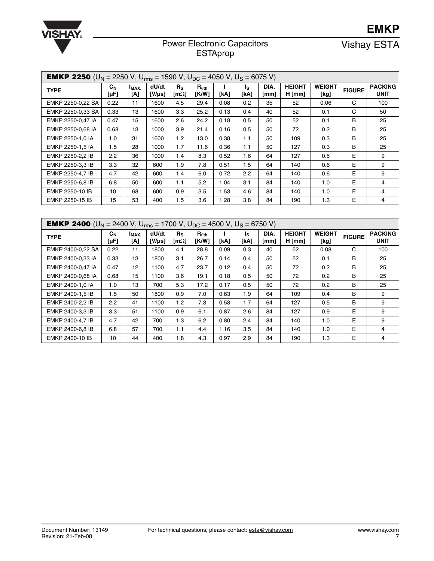

# Power Electronic Capacitors

Vishay ESTA

**EMKP**

| <b>EMKP 2250</b> (U <sub>N</sub> = 2250 V, U <sub>rms</sub> = 1590 V, U <sub>DC</sub> = 4050 V, U <sub>S</sub> = 6075 V) |                 |                         |                      |                          |                          |      |             |              |                           |                       |               |                               |
|--------------------------------------------------------------------------------------------------------------------------|-----------------|-------------------------|----------------------|--------------------------|--------------------------|------|-------------|--------------|---------------------------|-----------------------|---------------|-------------------------------|
| <b>TYPE</b>                                                                                                              | $c_{N}$<br>[µF] | I <sub>MAX</sub><br>[A] | dU/dt<br>$[V/\mu s]$ | $R_{S}$<br>[m $\Omega$ ] | $R_{\theta th}$<br>[K/W] | [kA] | ls.<br>[kA] | DIA.<br>[mm] | <b>HEIGHT</b><br>$H$ [mm] | <b>WEIGHT</b><br>[kg] | <b>FIGURE</b> | <b>PACKING</b><br><b>UNIT</b> |
| EMKP 2250-0.22 SA                                                                                                        | 0.22            | 11                      | 1600                 | 4.5                      | 29.4                     | 0.08 | 0.2         | 35           | 52                        | 0.06                  | C             | 100                           |
| EMKP 2250-0,33 SA                                                                                                        | 0.33            | 13                      | 1600                 | 3.3                      | 25.2                     | 0.13 | 0.4         | 40           | 52                        | 0.1                   | C             | 50                            |
| EMKP 2250-0.47 IA                                                                                                        | 0.47            | 15                      | 1600                 | 2.6                      | 24.2                     | 0.18 | 0.5         | 50           | 52                        | 0.1                   | B             | 25                            |
| EMKP 2250-0.68 IA                                                                                                        | 0.68            | 13                      | 1000                 | 3.9                      | 21.4                     | 0.16 | 0.5         | 50           | 72                        | 0.2                   | B             | 25                            |
| EMKP 2250-1.0 IA                                                                                                         | 1.0             | 31                      | 1600                 | 1.2                      | 13.0                     | 0.38 | 1.1         | 50           | 109                       | 0.3                   | в             | 25                            |
| EMKP 2250-1.5 IA                                                                                                         | 1.5             | 28                      | 1000                 | 1.7                      | 11.6                     | 0.36 | 1.1         | 50           | 127                       | 0.3                   | B             | 25                            |
| EMKP 2250-2.2 IB                                                                                                         | 2.2             | 36                      | 1000                 | 1.4                      | 8.3                      | 0.52 | 1.6         | 64           | 127                       | 0.5                   | E             | 9                             |
| EMKP 2250-3,3 IB                                                                                                         | 3.3             | 32                      | 600                  | 1.9                      | 7.8                      | 0.51 | 1.5         | 64           | 140                       | 0.6                   | Е             | 9                             |
| EMKP 2250-4.7 IB                                                                                                         | 4.7             | 42                      | 600                  | 1.4                      | 6.0                      | 0.72 | 2.2         | 64           | 140                       | 0.6                   | Е             | 9                             |
| EMKP 2250-6.8 IB                                                                                                         | 6.8             | 50                      | 600                  | 1.1                      | 5.2                      | 1.04 | 3.1         | 84           | 140                       | 1.0                   | E             | 4                             |
| EMKP 2250-10 IB                                                                                                          | 10              | 68                      | 600                  | 0.9                      | 3.5                      | 1.53 | 4.6         | 84           | 140                       | 1.0                   | E             | 4                             |
| EMKP 2250-15 IB                                                                                                          | 15              | 53                      | 400                  | 1.5                      | 3.6                      | .28  | 3.8         | 84           | 190                       | 1.3                   | E             | 4                             |

| <b>EMKP 2400</b> (U <sub>N</sub> = 2400 V, U <sub>rms</sub> = 1700 V, U <sub>DC</sub> = 4500 V, U <sub>S</sub> = 6750 V) |                 |                         |                      |                                  |                          |      |             |              |                           |                       |               |                               |
|--------------------------------------------------------------------------------------------------------------------------|-----------------|-------------------------|----------------------|----------------------------------|--------------------------|------|-------------|--------------|---------------------------|-----------------------|---------------|-------------------------------|
| <b>TYPE</b>                                                                                                              | $C_{N}$<br>[µF] | I <sub>MAX</sub><br>[A] | dU/dt<br>$[V/\mu s]$ | $R_{\rm S}$<br>$\text{Im}\Omega$ | $R_{\theta th}$<br>[K/W] | [kA] | ls.<br>[kA] | DIA.<br>[mm] | <b>HEIGHT</b><br>$H$ [mm] | <b>WEIGHT</b><br>[kg] | <b>FIGURE</b> | <b>PACKING</b><br><b>UNIT</b> |
| EMKP 2400-0,22 SA                                                                                                        | 0.22            | 11                      | 1800                 | 4.1                              | 28.8                     | 0.09 | 0.3         | 40           | 52                        | 0.08                  | C             | 100                           |
| EMKP 2400-0.33 IA                                                                                                        | 0.33            | 13                      | 1800                 | 3.1                              | 26.7                     | 0.14 | 0.4         | 50           | 52                        | 0.1                   | В             | 25                            |
| EMKP 2400-0,47 IA                                                                                                        | 0.47            | 12                      | 1100                 | 4.7                              | 23.7                     | 0.12 | 0.4         | 50           | 72                        | 0.2                   | В             | 25                            |
| EMKP 2400-0,68 IA                                                                                                        | 0.68            | 15                      | 1100                 | 3.6                              | 19.1                     | 0.18 | 0.5         | 50           | 72                        | 0.2                   | В             | 25                            |
| EMKP 2400-1.0 IA                                                                                                         | 1.0             | 13                      | 700                  | 5.3                              | 17.2                     | 0.17 | 0.5         | 50           | 72                        | 0.2                   | В             | 25                            |
| EMKP 2400-1.5 IB                                                                                                         | 1.5             | 50                      | 1800                 | 0.9                              | 7.0                      | 0.63 | 1.9         | 64           | 109                       | 0.4                   | В             | 9                             |
| EMKP 2400-2.2 IB                                                                                                         | 2.2             | 41                      | 1100                 | 1.2                              | 7.3                      | 0.58 | 1.7         | 64           | 127                       | 0.5                   | В             | 9                             |
| EMKP 2400-3.3 IB                                                                                                         | 3.3             | 51                      | 1100                 | 0.9                              | 6.1                      | 0.87 | 2.6         | 84           | 127                       | 0.9                   | E             | 9                             |
| EMKP 2400-4.7 IB                                                                                                         | 4.7             | 42                      | 700                  | 1.3                              | 6.2                      | 0.80 | 2.4         | 84           | 140                       | 1.0                   | E             | 9                             |
| EMKP 2400-6,8 IB                                                                                                         | 6.8             | 57                      | 700                  | 1.1                              | 4.4                      | 1.16 | 3.5         | 84           | 140                       | 1.0                   | E             | 4                             |
| EMKP 2400-10 IB                                                                                                          | 10              | 44                      | 400                  | 1.8                              | 4.3                      | 0.97 | 2.9         | 84           | 190                       | 1.3                   | E             | 4                             |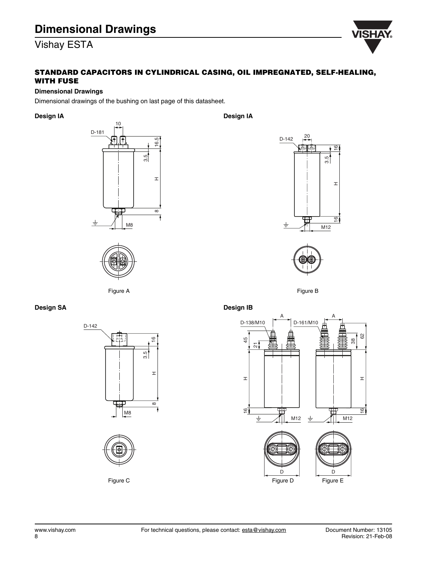

### **STANDARD CAPACITORS IN CYLINDRICAL CASING, OIL IMPREGNATED, SELF-HEALING, WITH FUSE**

### **Dimensional Drawings**

Dimensional drawings of the bushing on last page of this datasheet.

**Design IA**





Figure A

**Design IA**





Figure B

**Design SA**

D-142 羃  $\overline{6}$ 3.5  $\pm$ ±<br>∞ 8M8



Figure C

**Design IB**

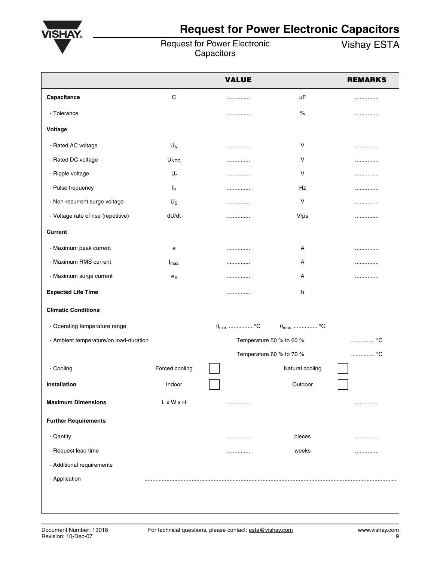

# **Request for Power Electronic Capacitors**

Request for Power Electronic

Vishay ESTA

|                                        |                  | <b>VALUE</b>             |                          | <b>REMARKS</b> |
|----------------------------------------|------------------|--------------------------|--------------------------|----------------|
| Capacitance                            | C                |                          | $\mu\text{F}$            |                |
| - Tolerance                            |                  |                          | $\%$                     |                |
| Voltage                                |                  |                          |                          |                |
| - Rated AC voltage                     | $U_N$            |                          | $\vee$                   |                |
| - Rated DC voltage                     | U <sub>NDC</sub> | .                        | V                        | .              |
| - Ripple voltage                       | $U_r$            |                          | $\vee$                   | .              |
| - Pulse frequency                      | $f_p$            | .                        | Hz                       |                |
| - Non-recurrent surge voltage          | $U_{\rm S}$      | .                        | V                        | .              |
| - Voltage rate of rise (repetitive)    | dU/dt            | .                        | $V/\mu s$                | .              |
| <b>Current</b>                         |                  |                          |                          |                |
| - Maximum peak current                 | $\in$            |                          | Α                        |                |
| - Maximum RMS current                  | $I_{\text{max}}$ | .                        | Α                        |                |
| - Maximum surge current                | $\in$ s          | .                        | Α                        |                |
| <b>Expected Life Time</b>              |                  |                          | h                        |                |
| <b>Climatic Conditions</b>             |                  |                          |                          |                |
| - Operating temperature range          |                  | $\theta_{\text{min}}$ °C | $\theta_{\text{max}}$ °C |                |
| - Ambient temperature/on.load-duration |                  | Temperature 50 % to 60 % |                          | °C             |
|                                        |                  | Temperature 60 % to 70 % |                          | °C             |
| - Cooling                              | Forced cooling   |                          | Natural cooling          |                |
| Installation                           | Indoor           |                          | Outdoor                  |                |
| <b>Maximum Dimensions</b>              | LxWxH            |                          |                          | .              |
| <b>Further Requirements</b>            |                  |                          |                          |                |
| - Qantity                              |                  |                          | pieces                   |                |
| - Request lead time                    |                  | .                        | weeks                    | .              |
| - Additional requirements              |                  |                          |                          |                |
| - Application                          |                  |                          |                          |                |
|                                        |                  |                          |                          |                |
|                                        |                  |                          |                          |                |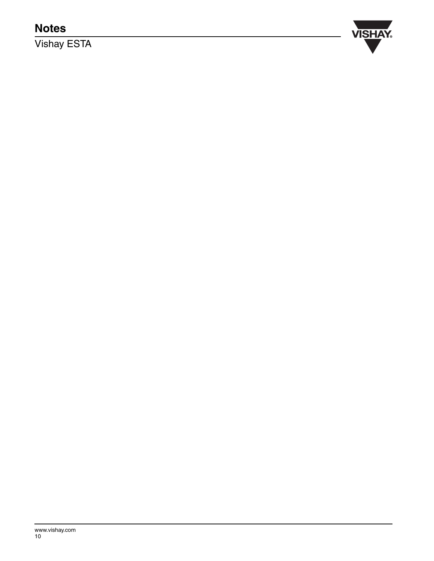# **Notes**

Vishay ESTA

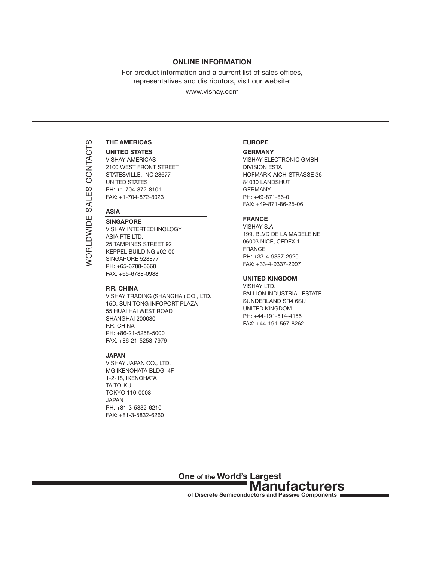### Online Information

For product information and a current list of sales offices, representatives and distributors, visit our website:

www.vishay.com

### The Americas

### **UNITED STATES**

Vishay Americas 2100 west front street STATESVILLE, NC 28677 UNITED STATES Ph: +1-704-872-8101 Fax: +1-704-872-8023

### **ASIA**

Worldwide Sales Contacts

*NORLDWIDE* 

SALES

CONTACTS

**SINGAPORE** Vishay intertechnology ASIA PTE LTD. 25 Tampines Street 92 Keppel Building #02-00 Singapore 528877 Ph: +65-6788-6668 Fax: +65-6788-0988

### P.R. China

Vishay Trading (Shanghai) Co., Ltd. 15D, SUN TONG INFOPORT PLAZA 55 HUAI HAI WEST ROAD SHANGHAI 200030 P.R. China PH: +86-21-5258-5000 FAX: +86-21-5258-7979

### **JAPAN**

vishay japan CO., LTD. MG IKENOHATA BLDG. 4F 1-2-18, IKENOHATA **TAITO-KU** Tokyo 110-0008 **JAPAN** Ph: +81-3-5832-6210 fax: +81-3-5832-6260

### EUROPE

**GERMANY** 

Vishay Electronic GmbH division esta hofmark-aich-Strasse 36 84030 landshut **GERMANY** Ph: +49-871-86-0 Fax: +49-871-86-25-06

### **FRANCE**

Vishay S.A. 199, BLVD DE LA MADELEINE 06003 NICE, CEDEX 1 **FRANCE** Ph: +33-4-9337-2920 Fax: +33-4-9337-2997

### UNITED KINGDOM

VISHAY LTD. PALLION INDUSTRIAL ESTATE SUNDERLAND SR4 6SU UNITED KINGDOM PH: +44-191-514-4155 FAX: +44-191-567-8262



of Discrete Semiconductors and Passive Components